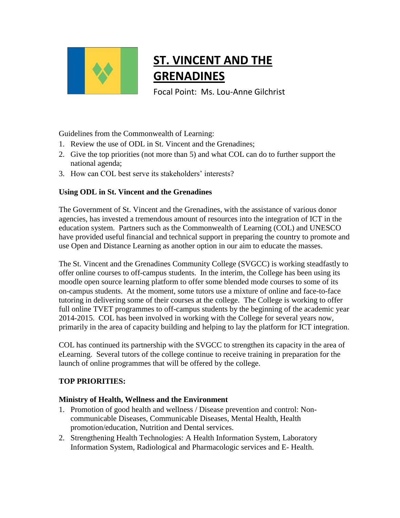

# **ST. VINCENT AND THE GRENADINES**

Focal Point: Ms. Lou-Anne Gilchrist

Guidelines from the Commonwealth of Learning:

- 1. Review the use of ODL in St. Vincent and the Grenadines;
- 2. Give the top priorities (not more than 5) and what COL can do to further support the national agenda;
- 3. How can COL best serve its stakeholders' interests?

## **Using ODL in St. Vincent and the Grenadines**

The Government of St. Vincent and the Grenadines, with the assistance of various donor agencies, has invested a tremendous amount of resources into the integration of ICT in the education system. Partners such as the Commonwealth of Learning (COL) and UNESCO have provided useful financial and technical support in preparing the country to promote and use Open and Distance Learning as another option in our aim to educate the masses.

The St. Vincent and the Grenadines Community College (SVGCC) is working steadfastly to offer online courses to off-campus students. In the interim, the College has been using its moodle open source learning platform to offer some blended mode courses to some of its on-campus students. At the moment, some tutors use a mixture of online and face-to-face tutoring in delivering some of their courses at the college. The College is working to offer full online TVET programmes to off-campus students by the beginning of the academic year 2014-2015. COL has been involved in working with the College for several years now, primarily in the area of capacity building and helping to lay the platform for ICT integration.

COL has continued its partnership with the SVGCC to strengthen its capacity in the area of eLearning. Several tutors of the college continue to receive training in preparation for the launch of online programmes that will be offered by the college.

## **TOP PRIORITIES:**

## **Ministry of Health, Wellness and the Environment**

- 1. Promotion of good health and wellness / Disease prevention and control: Noncommunicable Diseases, Communicable Diseases, Mental Health, Health promotion/education, Nutrition and Dental services.
- 2. Strengthening Health Technologies: A Health Information System, Laboratory Information System, Radiological and Pharmacologic services and E- Health.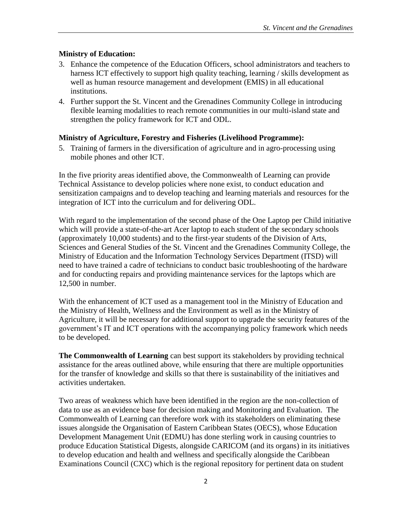#### **Ministry of Education:**

- 3. Enhance the competence of the Education Officers, school administrators and teachers to harness ICT effectively to support high quality teaching, learning / skills development as well as human resource management and development (EMIS) in all educational institutions.
- 4. Further support the St. Vincent and the Grenadines Community College in introducing flexible learning modalities to reach remote communities in our multi-island state and strengthen the policy framework for ICT and ODL.

#### **Ministry of Agriculture, Forestry and Fisheries (Livelihood Programme):**

5. Training of farmers in the diversification of agriculture and in agro-processing using mobile phones and other ICT.

In the five priority areas identified above, the Commonwealth of Learning can provide Technical Assistance to develop policies where none exist, to conduct education and sensitization campaigns and to develop teaching and learning materials and resources for the integration of ICT into the curriculum and for delivering ODL.

With regard to the implementation of the second phase of the One Laptop per Child initiative which will provide a state-of-the-art Acer laptop to each student of the secondary schools (approximately 10,000 students) and to the first-year students of the Division of Arts, Sciences and General Studies of the St. Vincent and the Grenadines Community College, the Ministry of Education and the Information Technology Services Department (ITSD) will need to have trained a cadre of technicians to conduct basic troubleshooting of the hardware and for conducting repairs and providing maintenance services for the laptops which are 12,500 in number.

With the enhancement of ICT used as a management tool in the Ministry of Education and the Ministry of Health, Wellness and the Environment as well as in the Ministry of Agriculture, it will be necessary for additional support to upgrade the security features of the government's IT and ICT operations with the accompanying policy framework which needs to be developed.

**The Commonwealth of Learning** can best support its stakeholders by providing technical assistance for the areas outlined above, while ensuring that there are multiple opportunities for the transfer of knowledge and skills so that there is sustainability of the initiatives and activities undertaken.

Two areas of weakness which have been identified in the region are the non-collection of data to use as an evidence base for decision making and Monitoring and Evaluation. The Commonwealth of Learning can therefore work with its stakeholders on eliminating these issues alongside the Organisation of Eastern Caribbean States (OECS), whose Education Development Management Unit (EDMU) has done sterling work in causing countries to produce Education Statistical Digests, alongside CARICOM (and its organs) in its initiatives to develop education and health and wellness and specifically alongside the Caribbean Examinations Council (CXC) which is the regional repository for pertinent data on student